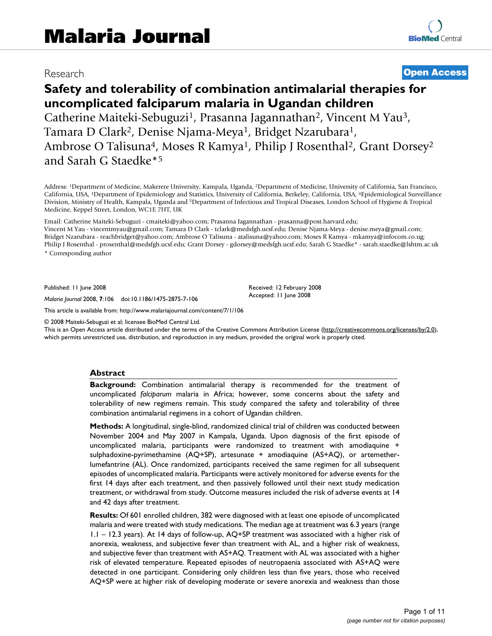# Research **[Open Access](http://www.biomedcentral.com/info/about/charter/)**

# **Safety and tolerability of combination antimalarial therapies for uncomplicated falciparum malaria in Ugandan children**

Catherine Maiteki-Sebuguzi<sup>1</sup>, Prasanna Jagannathan<sup>2</sup>, Vincent M Yau<sup>3</sup>, Tamara D Clark<sup>2</sup>, Denise Njama-Meya<sup>1</sup>, Bridget Nzarubara<sup>1</sup>, Ambrose O Talisuna<sup>4</sup>, Moses R Kamya<sup>1</sup>, Philip J Rosenthal<sup>2</sup>, Grant Dorsey<sup>2</sup> and Sarah G Staedke\*5

Address: 1Department of Medicine, Makerere University, Kampala, Uganda, 2Department of Medicine, University of California, San Francisco, California, USA, 3Department of Epidemiology and Statistics, University of California, Berkeley, California, USA, 4Epidemiological Surveillance Division, Ministry of Health, Kampala, Uganda and 5Department of Infectious and Tropical Diseases, London School of Hygiene & Tropical Medicine, Keppel Street, London, WC1E 7HT, UK

Email: Catherine Maiteki-Sebuguzi - cmaiteki@yahoo.com; Prasanna Jagannathan - prasanna@post.harvard.edu;

Vincent M Yau - vincentmyau@gmail.com; Tamara D Clark - tclark@medsfgh.ucsf.edu; Denise Njama-Meya - denise.meya@gmail.com; Bridget Nzarubara - reachbridget@yahoo.com; Ambrose O Talisuna - atalisuna@yahoo.com; Moses R Kamya - mkamya@infocom.co.ug; Philip J Rosenthal - prosenthal@medsfgh.ucsf.edu; Grant Dorsey - gdorsey@medsfgh.ucsf.edu; Sarah G Staedke\* - sarah.staedke@lshtm.ac.uk \* Corresponding author

> Received: 12 February 2008 Accepted: 11 June 2008

Published: 11 June 2008

*Malaria Journal* 2008, **7**:106 doi:10.1186/1475-2875-7-106

[This article is available from: http://www.malariajournal.com/content/7/1/106](http://www.malariajournal.com/content/7/1/106)

© 2008 Maiteki-Sebuguzi et al; licensee BioMed Central Ltd.

This is an Open Access article distributed under the terms of the Creative Commons Attribution License [\(http://creativecommons.org/licenses/by/2.0\)](http://creativecommons.org/licenses/by/2.0), which permits unrestricted use, distribution, and reproduction in any medium, provided the original work is properly cited.

#### **Abstract**

**Background:** Combination antimalarial therapy is recommended for the treatment of uncomplicated *falciparum* malaria in Africa; however, some concerns about the safety and tolerability of new regimens remain. This study compared the safety and tolerability of three combination antimalarial regimens in a cohort of Ugandan children.

**Methods:** A longitudinal, single-blind, randomized clinical trial of children was conducted between November 2004 and May 2007 in Kampala, Uganda. Upon diagnosis of the first episode of uncomplicated malaria, participants were randomized to treatment with amodiaquine + sulphadoxine-pyrimethamine (AQ+SP), artesunate + amodiaquine (AS+AQ), or artemetherlumefantrine (AL). Once randomized, participants received the same regimen for all subsequent episodes of uncomplicated malaria. Participants were actively monitored for adverse events for the first 14 days after each treatment, and then passively followed until their next study medication treatment, or withdrawal from study. Outcome measures included the risk of adverse events at 14 and 42 days after treatment.

**Results:** Of 601 enrolled children, 382 were diagnosed with at least one episode of uncomplicated malaria and were treated with study medications. The median age at treatment was 6.3 years (range 1.1 – 12.3 years). At 14 days of follow-up, AQ+SP treatment was associated with a higher risk of anorexia, weakness, and subjective fever than treatment with AL, and a higher risk of weakness, and subjective fever than treatment with AS+AQ. Treatment with AL was associated with a higher risk of elevated temperature. Repeated episodes of neutropaenia associated with AS+AQ were detected in one participant. Considering only children less than five years, those who received AQ+SP were at higher risk of developing moderate or severe anorexia and weakness than those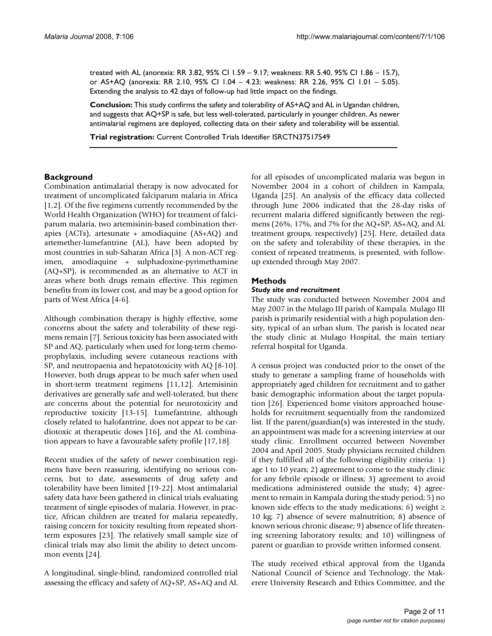treated with AL (anorexia: RR 3.82, 95% CI 1.59 – 9.17; weakness: RR 5.40, 95% CI 1.86 – 15.7), or AS+AQ (anorexia: RR 2.10, 95% CI 1.04 – 4.23; weakness: RR 2.26, 95% CI 1.01 – 5.05). Extending the analysis to 42 days of follow-up had little impact on the findings.

**Conclusion:** This study confirms the safety and tolerability of AS+AQ and AL in Ugandan children, and suggests that AQ+SP is safe, but less well-tolerated, particularly in younger children. As newer antimalarial regimens are deployed, collecting data on their safety and tolerability will be essential.

**Trial registration:** Current Controlled Trials Identifier ISRCTN37517549

# **Background**

Combination antimalarial therapy is now advocated for treatment of uncomplicated falciparum malaria in Africa [1,2]. Of the five regimens currently recommended by the World Health Organization (WHO) for treatment of falciparum malaria, two artemisinin-based combination therapies (ACTs), artesunate + amodiaquine (AS+AQ) and artemether-lumefantrine (AL), have been adopted by most countries in sub-Saharan Africa [3]. A non-ACT regimen, amodiaquine + sulphadoxine-pyrimethamine (AQ+SP), is recommended as an alternative to ACT in areas where both drugs remain effective. This regimen benefits from its lower cost, and may be a good option for parts of West Africa [4-6].

Although combination therapy is highly effective, some concerns about the safety and tolerability of these regimens remain [7]. Serious toxicity has been associated with SP and AQ, particularly when used for long-term chemoprophylaxis, including severe cutaneous reactions with SP, and neutropaenia and hepatotoxicity with AQ [8-10]. However, both drugs appear to be much safer when used in short-term treatment regimens [11,12]. Artemisinin derivatives are generally safe and well-tolerated, but there are concerns about the potential for neurotoxicity and reproductive toxicity [13-15]. Lumefantrine, although closely related to halofantrine, does not appear to be cardiotoxic at therapeutic doses [16], and the AL combination appears to have a favourable safety profile [[17,](#page-9-0)18].

Recent studies of the safety of newer combination regimens have been reassuring, identifying no serious concerns, but to date, assessments of drug safety and tolerability have been limited [19-22]. Most antimalarial safety data have been gathered in clinical trials evaluating treatment of single episodes of malaria. However, in practice, African children are treated for malaria repeatedly, raising concern for toxicity resulting from repeated shortterm exposures [23]. The relatively small sample size of clinical trials may also limit the ability to detect uncommon events [24].

A longitudinal, single-blind, randomized controlled trial assessing the efficacy and safety of AQ+SP, AS+AQ and AL for all episodes of uncomplicated malaria was begun in November 2004 in a cohort of children in Kampala, Uganda [25]. An analysis of the efficacy data collected through June 2006 indicated that the 28-day risks of recurrent malaria differed significantly between the regimens (26%, 17%, and 7% for the AQ+SP, AS+AQ, and AL treatment groups, respectively) [25]. Here, detailed data on the safety and tolerability of these therapies, in the context of repeated treatments, is presented, with followup extended through May 2007.

# **Methods**

#### *Study site and recruitment*

The study was conducted between November 2004 and May 2007 in the Mulago III parish of Kampala. Mulago III parish is primarily residential with a high population density, typical of an urban slum. The parish is located near the study clinic at Mulago Hospital, the main tertiary referral hospital for Uganda.

A census project was conducted prior to the onset of the study to generate a sampling frame of households with appropriately aged children for recruitment and to gather basic demographic information about the target population [26]. Experienced home visitors approached households for recruitment sequentially from the randomized list. If the parent/guardian(s) was interested in the study, an appointment was made for a screening interview at our study clinic. Enrollment occurred between November 2004 and April 2005. Study physicians recruited children if they fulfilled all of the following eligibility criteria: 1) age 1 to 10 years; 2) agreement to come to the study clinic for any febrile episode or illness; 3) agreement to avoid medications administered outside the study; 4) agreement to remain in Kampala during the study period; 5) no known side effects to the study medications; 6) weight  $\ge$ 10 kg; 7) absence of severe malnutrition; 8) absence of known serious chronic disease; 9) absence of life threatening screening laboratory results; and 10) willingness of parent or guardian to provide written informed consent.

The study received ethical approval from the Uganda National Council of Science and Technology, the Makerere University Research and Ethics Committee, and the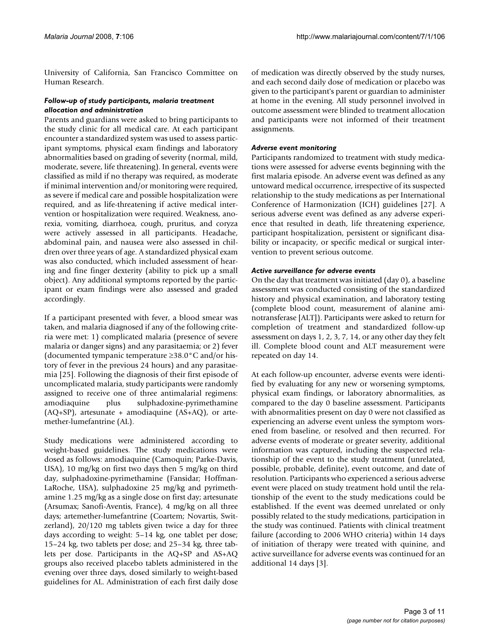University of California, San Francisco Committee on Human Research.

#### *Follow-up of study participants, malaria treatment allocation and administration*

Parents and guardians were asked to bring participants to the study clinic for all medical care. At each participant encounter a standardized system was used to assess participant symptoms, physical exam findings and laboratory abnormalities based on grading of severity (normal, mild, moderate, severe, life threatening). In general, events were classified as mild if no therapy was required, as moderate if minimal intervention and/or monitoring were required, as severe if medical care and possible hospitalization were required, and as life-threatening if active medical intervention or hospitalization were required. Weakness, anorexia, vomiting, diarrhoea, cough, pruritus, and coryza were actively assessed in all participants. Headache, abdominal pain, and nausea were also assessed in children over three years of age. A standardized physical exam was also conducted, which included assessment of hearing and fine finger dexterity (ability to pick up a small object). Any additional symptoms reported by the participant or exam findings were also assessed and graded accordingly.

If a participant presented with fever, a blood smear was taken, and malaria diagnosed if any of the following criteria were met: 1) complicated malaria (presence of severe malaria or danger signs) and any parasitaemia; or 2) fever (documented tympanic temperature ≥38.0°C and/or history of fever in the previous 24 hours) and any parasitaemia [25]. Following the diagnosis of their first episode of uncomplicated malaria, study participants were randomly assigned to receive one of three antimalarial regimens: amodiaquine plus sulphadoxine-pyrimethamine  $(AQ+SP)$ , artesunate + amodiaquine  $(AS+AQ)$ , or artemether-lumefantrine (AL).

Study medications were administered according to weight-based guidelines. The study medications were dosed as follows: amodiaquine (Camoquin; Parke-Davis, USA), 10 mg/kg on first two days then 5 mg/kg on third day, sulphadoxine-pyrimethamine (Fansidar; Hoffman-LaRoche, USA), sulphadoxine 25 mg/kg and pyrimethamine 1.25 mg/kg as a single dose on first day; artesunate (Arsumax; Sanofi-Aventis, France), 4 mg/kg on all three days; artemether-lumefantrine (Coartem; Novartis, Switzerland), 20/120 mg tablets given twice a day for three days according to weight: 5–14 kg, one tablet per dose; 15–24 kg, two tablets per dose; and 25–34 kg, three tablets per dose. Participants in the AQ+SP and AS+AQ groups also received placebo tablets administered in the evening over three days, dosed similarly to weight-based guidelines for AL. Administration of each first daily dose of medication was directly observed by the study nurses, and each second daily dose of medication or placebo was given to the participant's parent or guardian to administer at home in the evening. All study personnel involved in outcome assessment were blinded to treatment allocation and participants were not informed of their treatment assignments.

# *Adverse event monitoring*

Participants randomized to treatment with study medications were assessed for adverse events beginning with the first malaria episode. An adverse event was defined as any untoward medical occurrence, irrespective of its suspected relationship to the study medications as per International Conference of Harmonization (ICH) guidelines [27]. A serious adverse event was defined as any adverse experience that resulted in death, life threatening experience, participant hospitalization, persistent or significant disability or incapacity, or specific medical or surgical intervention to prevent serious outcome.

# *Active surveillance for adverse events*

On the day that treatment was initiated (day 0), a baseline assessment was conducted consisting of the standardized history and physical examination, and laboratory testing (complete blood count, measurement of alanine aminotransferase [ALT]). Participants were asked to return for completion of treatment and standardized follow-up assessment on days 1, 2, 3, 7, 14, or any other day they felt ill. Complete blood count and ALT measurement were repeated on day 14.

At each follow-up encounter, adverse events were identified by evaluating for any new or worsening symptoms, physical exam findings, or laboratory abnormalities, as compared to the day 0 baseline assessment. Participants with abnormalities present on day 0 were not classified as experiencing an adverse event unless the symptom worsened from baseline, or resolved and then recurred. For adverse events of moderate or greater severity, additional information was captured, including the suspected relationship of the event to the study treatment (unrelated, possible, probable, definite), event outcome, and date of resolution. Participants who experienced a serious adverse event were placed on study treatment hold until the relationship of the event to the study medications could be established. If the event was deemed unrelated or only possibly related to the study medications, participation in the study was continued. Patients with clinical treatment failure (according to 2006 WHO criteria) within 14 days of initiation of therapy were treated with quinine, and active surveillance for adverse events was continued for an additional 14 days [3].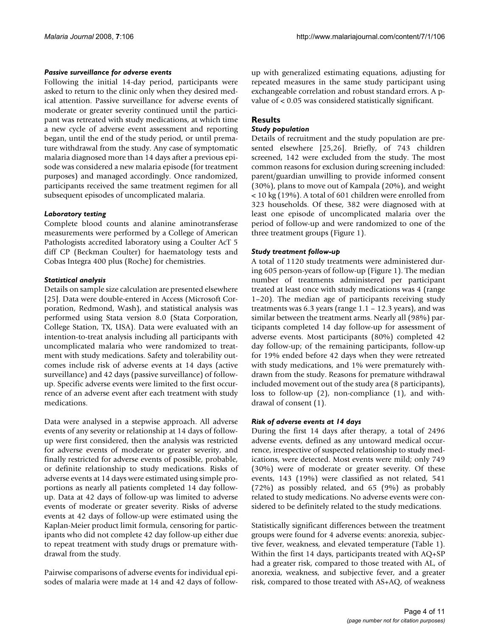#### *Passive surveillance for adverse events*

Following the initial 14-day period, participants were asked to return to the clinic only when they desired medical attention. Passive surveillance for adverse events of moderate or greater severity continued until the participant was retreated with study medications, at which time a new cycle of adverse event assessment and reporting began, until the end of the study period, or until premature withdrawal from the study. Any case of symptomatic malaria diagnosed more than 14 days after a previous episode was considered a new malaria episode (for treatment purposes) and managed accordingly. Once randomized, participants received the same treatment regimen for all subsequent episodes of uncomplicated malaria.

# *Laboratory testing*

Complete blood counts and alanine aminotransferase measurements were performed by a College of American Pathologists accredited laboratory using a Coulter AcT 5 diff CP (Beckman Coulter) for haematology tests and Cobas Integra 400 plus (Roche) for chemistries.

# *Statistical analysis*

Details on sample size calculation are presented elsewhere [25]. Data were double-entered in Access (Microsoft Corporation, Redmond, Wash), and statistical analysis was performed using Stata version 8.0 (Stata Corporation, College Station, TX, USA). Data were evaluated with an intention-to-treat analysis including all participants with uncomplicated malaria who were randomized to treatment with study medications. Safety and tolerability outcomes include risk of adverse events at 14 days (active surveillance) and 42 days (passive surveillance) of followup. Specific adverse events were limited to the first occurrence of an adverse event after each treatment with study medications.

Data were analysed in a stepwise approach. All adverse events of any severity or relationship at 14 days of followup were first considered, then the analysis was restricted for adverse events of moderate or greater severity, and finally restricted for adverse events of possible, probable, or definite relationship to study medications. Risks of adverse events at 14 days were estimated using simple proportions as nearly all patients completed 14 day followup. Data at 42 days of follow-up was limited to adverse events of moderate or greater severity. Risks of adverse events at 42 days of follow-up were estimated using the Kaplan-Meier product limit formula, censoring for participants who did not complete 42 day follow-up either due to repeat treatment with study drugs or premature withdrawal from the study.

Pairwise comparisons of adverse events for individual episodes of malaria were made at 14 and 42 days of followup with generalized estimating equations, adjusting for repeated measures in the same study participant using exchangeable correlation and robust standard errors. A pvalue of < 0.05 was considered statistically significant.

# **Results**

#### *Study population*

Details of recruitment and the study population are presented elsewhere [25,26]. Briefly, of 743 children screened, 142 were excluded from the study. The most common reasons for exclusion during screening included: parent/guardian unwilling to provide informed consent (30%), plans to move out of Kampala (20%), and weight < 10 kg (19%). A total of 601 children were enrolled from 323 households. Of these, 382 were diagnosed with at least one episode of uncomplicated malaria over the period of follow-up and were randomized to one of the three treatment groups (Figure 1).

# *Study treatment follow-up*

A total of 1120 study treatments were administered during 605 person-years of follow-up (Figure 1). The median number of treatments administered per participant treated at least once with study medications was 4 (range 1–20). The median age of participants receiving study treatments was  $6.3$  years (range  $1.1 - 12.3$  years), and was similar between the treatment arms. Nearly all (98%) participants completed 14 day follow-up for assessment of adverse events. Most participants (80%) completed 42 day follow-up; of the remaining participants, follow-up for 19% ended before 42 days when they were retreated with study medications, and 1% were prematurely withdrawn from the study. Reasons for premature withdrawal included movement out of the study area (8 participants), loss to follow-up (2), non-compliance (1), and withdrawal of consent (1).

# *Risk of adverse events at 14 days*

During the first 14 days after therapy, a total of 2496 adverse events, defined as any untoward medical occurrence, irrespective of suspected relationship to study medications, were detected. Most events were mild; only 749 (30%) were of moderate or greater severity. Of these events, 143 (19%) were classified as not related, 541 (72%) as possibly related, and 65 (9%) as probably related to study medications. No adverse events were considered to be definitely related to the study medications.

Statistically significant differences between the treatment groups were found for 4 adverse events: anorexia, subjective fever, weakness, and elevated temperature (Table 1). Within the first 14 days, participants treated with AQ+SP had a greater risk, compared to those treated with AL, of anorexia, weakness, and subjective fever, and a greater risk, compared to those treated with AS+AQ, of weakness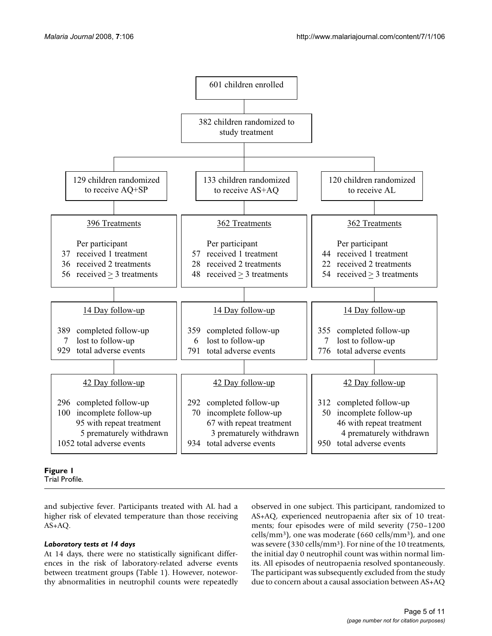

# **Figure 1**

Trial Profile.

and subjective fever. Participants treated with AL had a higher risk of elevated temperature than those receiving AS+AQ.

# *Laboratory tests at 14 days*

At 14 days, there were no statistically significant differences in the risk of laboratory-related adverse events between treatment groups (Table 1). However, noteworthy abnormalities in neutrophil counts were repeatedly observed in one subject. This participant, randomized to AS+AQ, experienced neutropaenia after six of 10 treatments; four episodes were of mild severity (750–1200 cells/mm3), one was moderate (660 cells/mm3), and one was severe (330 cells/mm<sup>3</sup>). For nine of the 10 treatments, the initial day 0 neutrophil count was within normal limits. All episodes of neutropaenia resolved spontaneously. The participant was subsequently excluded from the study due to concern about a causal association between AS+AQ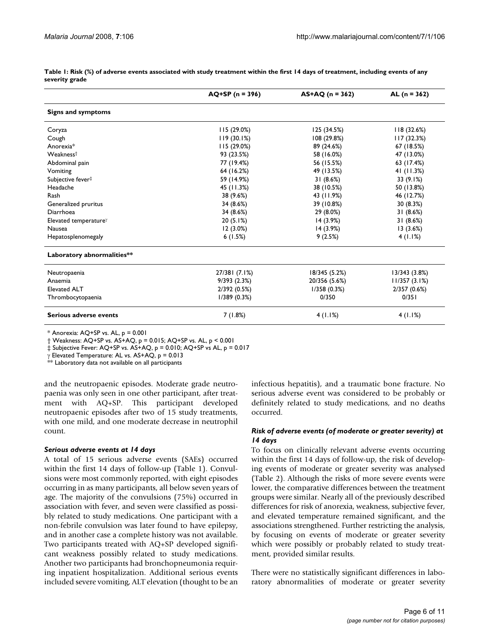|                               | $AQ+SP(n = 396)$ | $AS+AQ$ (n = 362) | $AL(n = 362)$ |
|-------------------------------|------------------|-------------------|---------------|
| Signs and symptoms            |                  |                   |               |
| Coryza                        | 115(29.0%)       | 125 (34.5%)       | 118(32.6%)    |
| Cough                         | 119(30.1%)       | 108 (29.8%)       | 117(32.3%)    |
| Anorexia <sup>*</sup>         | 115(29.0%)       | 89 (24.6%)        | 67 (18.5%)    |
| Weakness <sup>†</sup>         | 93 (23.5%)       | 58 (16.0%)        | 47 (13.0%)    |
| Abdominal pain                | 77 (19.4%)       | 56 (15.5%)        | 63 (17.4%)    |
| Vomiting                      | 64 (16.2%)       | 49 (13.5%)        | 41 (11.3%)    |
| Subjective fever <sup>#</sup> | 59 (14.9%)       | 31(8.6%)          | 33 (9.1%)     |
| Headache                      | 45 (11.3%)       | 38 (10.5%)        | 50 (13.8%)    |
| Rash                          | 38 (9.6%)        | 43 (11.9%)        | 46 (12.7%)    |
| Generalized pruritus          | 34 (8.6%)        | 39 (10.8%)        | 30 (8.3%)     |
| Diarrhoea                     | 34 (8.6%)        | 29 (8.0%)         | 31(8.6%)      |
| Elevated temperature?         | 20(5.1%)         | 14(3.9%)          | 31(8.6%)      |
| Nausea                        | 12(3.0%)         | 14(3.9%)          | 13(3.6%)      |
| Hepatosplenomegaly            | 6(1.5%)          | 9(2.5%)           | 4 (1.1%)      |
| Laboratory abnormalities**    |                  |                   |               |
| Neutropaenia                  | 27/381 (7.1%)    | 18/345 (5.2%)     | 13/343 (3.8%) |
| Anaemia                       | 9/393(2.3%)      | 20/356 (5.6%)     | 11/357(3.1%)  |
| <b>Elevated ALT</b>           | 2/392 (0.5%)     | 1/358(0.3%)       | 2/357 (0.6%)  |
| Thrombocytopaenia             | 1/389 (0.3%)     | 0/350             | 0/351         |
| Serious adverse events        | 7 (1.8%)         | 4 (1.1%)          | 4(1.1%)       |

**Table 1: Risk (%) of adverse events associated with study treatment within the first 14 days of treatment, including events of any severity grade**

 $*$  Anorexia: AQ+SP vs. AL,  $p = 0.001$ 

† Weakness: AQ+SP vs. AS+AQ, p = 0.015; AQ+SP vs. AL, p < 0.001

‡ Subjective Fever: AQ+SP vs. AS+AQ, p = 0.010; AQ+SP vs AL, p = 0.017

γ Elevated Temperature: AL vs. AS+AQ,  $p = 0.013$ 

\*\* Laboratory data not available on all participants

and the neutropaenic episodes. Moderate grade neutropaenia was only seen in one other participant, after treatment with AQ+SP. This participant developed neutropaenic episodes after two of 15 study treatments, with one mild, and one moderate decrease in neutrophil count.

#### *Serious adverse events at 14 days*

A total of 15 serious adverse events (SAEs) occurred within the first 14 days of follow-up (Table 1). Convulsions were most commonly reported, with eight episodes occurring in as many participants, all below seven years of age. The majority of the convulsions (75%) occurred in association with fever, and seven were classified as possibly related to study medications. One participant with a non-febrile convulsion was later found to have epilepsy, and in another case a complete history was not available. Two participants treated with AQ+SP developed significant weakness possibly related to study medications. Another two participants had bronchopneumonia requiring inpatient hospitalization. Additional serious events included severe vomiting, ALT elevation (thought to be an

infectious hepatitis), and a traumatic bone fracture. No serious adverse event was considered to be probably or definitely related to study medications, and no deaths occurred.

#### *Risk of adverse events (of moderate or greater severity) at 14 days*

To focus on clinically relevant adverse events occurring within the first 14 days of follow-up, the risk of developing events of moderate or greater severity was analysed (Table 2). Although the risks of more severe events were lower, the comparative differences between the treatment groups were similar. Nearly all of the previously described differences for risk of anorexia, weakness, subjective fever, and elevated temperature remained significant, and the associations strengthened. Further restricting the analysis, by focusing on events of moderate or greater severity which were possibly or probably related to study treatment, provided similar results.

There were no statistically significant differences in laboratory abnormalities of moderate or greater severity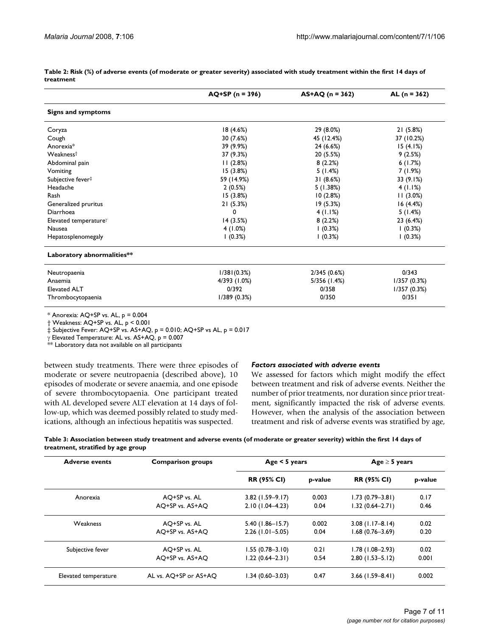|                            | $AQ+SP(n = 396)$ | $AS+AQ$ (n = 362) | AL $(n = 362)$ |
|----------------------------|------------------|-------------------|----------------|
| <b>Signs and symptoms</b>  |                  |                   |                |
| Coryza                     | 18(4.6%)         | 29 (8.0%)         | 21(5.8%)       |
| Cough                      | 30 (7.6%)        | 45 (12.4%)        | 37 (10.2%)     |
| Anorexia*                  | 39 (9.9%)        | 24 (6.6%)         | 15(4.1%)       |
| Weakness <sup>†</sup>      | 37 (9.3%)        | 20 (5.5%)         | 9(2.5%)        |
| Abdominal pain             | 11(2.8%)         | 8(2.2%)           | 6(1.7%)        |
| Vomiting                   | 15(3.8%)         | 5(1.4%)           | 7 (1.9%)       |
| Subjective fever#          | 59 (14.9%)       | 31(8.6%)          | 33 (9.1%)      |
| Headache                   | 2(0.5%)          | 5(1.38%)          | 4(1.1%)        |
| Rash                       | 15(3.8%)         | 10(2.8%)          | 11(3.0%)       |
| Generalized pruritus       | 21(5.3%)         | 19(5.3%)          | 16(4.4%)       |
| Diarrhoea                  | 0                | 4(1.1%)           | 5(1.4%)        |
| Elevated temperature?      | 14(3.5%)         | 8(2.2%)           | 23 (6.4%)      |
| Nausea                     | 4(1.0%)          | $(0.3\%)$         | $(0.3\%)$      |
| Hepatosplenomegaly         | (0.3%)           | (0.3%)            | $(0.3\%)$      |
| Laboratory abnormalities** |                  |                   |                |
| Neutropaenia               | 1/381(0.3%)      | 2/345(0.6%)       | 0/343          |
| Anaemia                    | 4/393 (1.0%)     | 5/356 (1.4%)      | 1/357(0.3%)    |
| <b>Elevated ALT</b>        | 0/392            | 0/358             | 1/357(0.3%)    |
| Thrombocytopaenia          | 1/389(0.3%)      | 0/350             | 0/351          |

**Table 2: Risk (%) of adverse events (of moderate or greater severity) associated with study treatment within the first 14 days of treatment**

 $*$  Anorexia: AQ+SP vs. AL,  $p = 0.004$ 

† Weakness: AQ+SP vs. AL, p < 0.001

‡ Subjective Fever: AQ+SP vs. AS+AQ, p = 0.010; AQ+SP vs AL, p = 0.017

γ Elevated Temperature: AL vs. AS+AQ,  $p = 0.007$ 

\*\* Laboratory data not available on all participants

between study treatments. There were three episodes of moderate or severe neutropaenia (described above), 10 episodes of moderate or severe anaemia, and one episode of severe thrombocytopaenia. One participant treated with AL developed severe ALT elevation at 14 days of follow-up, which was deemed possibly related to study medications, although an infectious hepatitis was suspected.

#### *Factors associated with adverse events*

We assessed for factors which might modify the effect between treatment and risk of adverse events. Neither the number of prior treatments, nor duration since prior treatment, significantly impacted the risk of adverse events. However, when the analysis of the association between treatment and risk of adverse events was stratified by age,

**Table 3: Association between study treatment and adverse events (of moderate or greater severity) within the first 14 days of treatment, stratified by age group**

| <b>Adverse events</b> | <b>Comparison groups</b> | Age $<$ 5 years     |         | Age $\geq$ 5 years  |         |
|-----------------------|--------------------------|---------------------|---------|---------------------|---------|
|                       |                          | <b>RR (95% CI)</b>  | p-value | <b>RR (95% CI)</b>  | p-value |
| Anorexia              | AQ+SP vs. AL             | $3.82$ (1.59-9.17)  | 0.003   | $1.73(0.79 - 3.81)$ | 0.17    |
|                       | AO+SP vs. AS+AO          | $2.10(1.04 - 4.23)$ | 0.04    | $1.32(0.64 - 2.71)$ | 0.46    |
| Weakness              | AO+SP vs. AL             | $5.40$ (1.86-15.7)  | 0.002   | $3.08$ (1.17-8.14)  | 0.02    |
|                       | AO+SP vs. AS+AO          | $2.26(1.01 - 5.05)$ | 0.04    | $1.68(0.76 - 3.69)$ | 0.20    |
| Subjective fever      | AQ+SP vs. AL             | $1.55(0.78 - 3.10)$ | 0.21    | $1.78(1.08 - 2.93)$ | 0.02    |
|                       | AO+SP vs. AS+AO          | $1.22(0.64-2.31)$   | 0.54    | $2.80(1.53 - 5.12)$ | 0.001   |
| Elevated temperature  | AL vs. AQ+SP or AS+AO    | $1.34(0.60 - 3.03)$ | 0.47    | $3.66$ (1.59-8.41)  | 0.002   |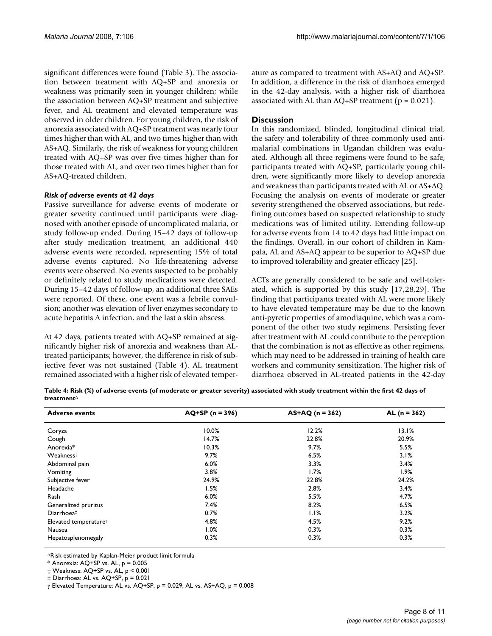significant differences were found (Table 3). The association between treatment with AQ+SP and anorexia or weakness was primarily seen in younger children; while the association between AQ+SP treatment and subjective fever, and AL treatment and elevated temperature was observed in older children. For young children, the risk of anorexia associated with AQ+SP treatment was nearly four times higher than with AL, and two times higher than with AS+AQ. Similarly, the risk of weakness for young children treated with AQ+SP was over five times higher than for those treated with AL, and over two times higher than for AS+AQ-treated children.

#### *Risk of adverse events at 42 days*

Passive surveillance for adverse events of moderate or greater severity continued until participants were diagnosed with another episode of uncomplicated malaria, or study follow-up ended. During 15–42 days of follow-up after study medication treatment, an additional 440 adverse events were recorded, representing 15% of total adverse events captured. No life-threatening adverse events were observed. No events suspected to be probably or definitely related to study medications were detected. During 15–42 days of follow-up, an additional three SAEs were reported. Of these, one event was a febrile convulsion; another was elevation of liver enzymes secondary to acute hepatitis A infection, and the last a skin abscess.

At 42 days, patients treated with AQ+SP remained at significantly higher risk of anorexia and weakness than ALtreated participants; however, the difference in risk of subjective fever was not sustained (Table 4). AL treatment remained associated with a higher risk of elevated temperature as compared to treatment with AS+AQ and AQ+SP. In addition, a difference in the risk of diarrhoea emerged in the 42-day analysis, with a higher risk of diarrhoea associated with AL than  $AQ+SP$  treatment ( $p = 0.021$ ).

# **Discussion**

In this randomized, blinded, longitudinal clinical trial, the safety and tolerability of three commonly used antimalarial combinations in Ugandan children was evaluated. Although all three regimens were found to be safe, participants treated with AQ+SP, particularly young children, were significantly more likely to develop anorexia and weakness than participants treated with AL or AS+AQ. Focusing the analysis on events of moderate or greater severity strengthened the observed associations, but redefining outcomes based on suspected relationship to study medications was of limited utility. Extending follow-up for adverse events from 14 to 42 days had little impact on the findings. Overall, in our cohort of children in Kampala, AL and AS+AQ appear to be superior to AQ+SP due to improved tolerability and greater efficacy [25].

ACTs are generally considered to be safe and well-tolerated, which is supported by this study [[17,](#page-9-0)28,29]. The finding that participants treated with AL were more likely to have elevated temperature may be due to the known anti-pyretic properties of amodiaquine, which was a component of the other two study regimens. Persisting fever after treatment with AL could contribute to the perception that the combination is not as effective as other regimens, which may need to be addressed in training of health care workers and community sensitization. The higher risk of diarrhoea observed in AL-treated patients in the 42-day

**Table 4: Risk (%) of adverse events (of moderate or greater severity) associated with study treatment within the first 42 days of treatment**<sup>∆</sup>

| <b>Adverse events</b>  | $AQ+SP(n = 396)$ | $AS+AQ$ (n = 362) | $AL(n = 362)$ |
|------------------------|------------------|-------------------|---------------|
| Coryza                 | 10.0%            | 12.2%             | 13.1%         |
| Cough                  | 14.7%            | 22.8%             | 20.9%         |
| Anorexia <sup>*</sup>  | 10.3%            | 9.7%              | 5.5%          |
| Weakness <sup>†</sup>  | 9.7%             | 6.5%              | 3.1%          |
| Abdominal pain         | 6.0%             | 3.3%              | 3.4%          |
| Vomiting               | 3.8%             | 1.7%              | 1.9%          |
| Subjective fever       | 24.9%            | 22.8%             | 24.2%         |
| Headache               | 1.5%             | 2.8%              | 3.4%          |
| Rash                   | 6.0%             | 5.5%              | 4.7%          |
| Generalized pruritus   | 7.4%             | 8.2%              | 6.5%          |
| Diarrhoea <sup>‡</sup> | 0.7%             | 1.1%              | 3.2%          |
| Elevated temperature?  | 4.8%             | 4.5%              | 9.2%          |
| Nausea                 | 1.0%             | 0.3%              | 0.3%          |
| Hepatosplenomegaly     | 0.3%             | 0.3%              | 0.3%          |

ΔRisk estimated by Kaplan-Meier product limit formula

 $*$  Anorexia: AQ+SP vs. AL,  $p = 0.005$ 

† Weakness: AQ+SP vs. AL, p < 0.001

‡ Diarrhoea: AL vs. AQ+SP, p = 0.021

γ Elevated Temperature: AL vs. AQ+SP,  $p = 0.029$ ; AL vs. AS+AQ,  $p = 0.008$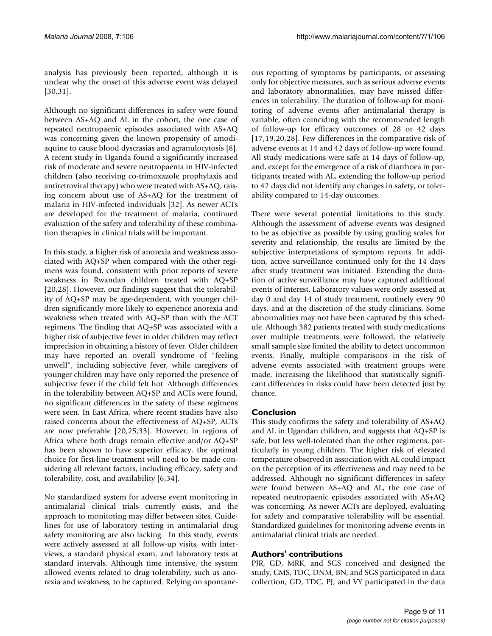analysis has previously been reported, although it is unclear why the onset of this adverse event was delayed [30,31].

Although no significant differences in safety were found between AS+AQ and AL in the cohort, the one case of repeated neutropaenic episodes associated with AS+AQ was concerning given the known propensity of amodiaquine to cause blood dyscrasias and agranulocytosis [8]. A recent study in Uganda found a significantly increased risk of moderate and severe neutropaenia in HIV-infected children (also receiving co-trimoxazole prophylaxis and antiretroviral therapy) who were treated with AS+AQ, raising concern about use of AS+AQ for the treatment of malaria in HIV-infected individuals [32]. As newer ACTs are developed for the treatment of malaria, continued evaluation of the safety and tolerability of these combination therapies in clinical trials will be important.

In this study, a higher risk of anorexia and weakness associated with AQ+SP when compared with the other regimens was found, consistent with prior reports of severe weakness in Rwandan children treated with AQ+SP [20,28]. However, our findings suggest that the tolerability of AQ+SP may be age-dependent, with younger children significantly more likely to experience anorexia and weakness when treated with AQ+SP than with the ACT regimens. The finding that AQ+SP was associated with a higher risk of subjective fever in older children may reflect imprecision in obtaining a history of fever. Older children may have reported an overall syndrome of "feeling unwell", including subjective fever, while caregivers of younger children may have only reported the presence of subjective fever if the child felt hot. Although differences in the tolerability between AQ+SP and ACTs were found, no significant differences in the safety of these regimens were seen. In East Africa, where recent studies have also raised concerns about the effectiveness of AQ+SP, ACTs are now preferable [20,25,33]. However, in regions of Africa where both drugs remain effective and/or AQ+SP has been shown to have superior efficacy, the optimal choice for first-line treatment will need to be made considering all relevant factors, including efficacy, safety and tolerability, cost, and availability [6,34].

No standardized system for adverse event monitoring in antimalarial clinical trials currently exists, and the approach to monitoring may differ between sites. Guidelines for use of laboratory testing in antimalarial drug safety monitoring are also lacking. In this study, events were actively assessed at all follow-up visits, with interviews, a standard physical exam, and laboratory tests at standard intervals. Although time intensive, the system allowed events related to drug tolerability, such as anorexia and weakness, to be captured. Relying on spontaneous reporting of symptoms by participants, or assessing only for objective measures, such as serious adverse events and laboratory abnormalities, may have missed differences in tolerability. The duration of follow-up for monitoring of adverse events after antimalarial therapy is variable, often coinciding with the recommended length of follow-up for efficacy outcomes of 28 or 42 days [[17](#page-9-0),19,20,28]. Few differences in the comparative risk of adverse events at 14 and 42 days of follow-up were found. All study medications were safe at 14 days of follow-up, and, except for the emergence of a risk of diarrhoea in participants treated with AL, extending the follow-up period to 42 days did not identify any changes in safety, or tolerability compared to 14-day outcomes.

There were several potential limitations to this study. Although the assessment of adverse events was designed to be as objective as possible by using grading scales for severity and relationship, the results are limited by the subjective interpretations of symptom reports. In addition, active surveillance continued only for the 14 days after study treatment was initiated. Extending the duration of active surveillance may have captured additional events of interest. Laboratory values were only assessed at day 0 and day 14 of study treatment, routinely every 90 days, and at the discretion of the study clinicians. Some abnormalities may not have been captured by this schedule. Although 382 patients treated with study medications over multiple treatments were followed, the relatively small sample size limited the ability to detect uncommon events. Finally, multiple comparisons in the risk of adverse events associated with treatment groups were made, increasing the likelihood that statistically significant differences in risks could have been detected just by chance.

# **Conclusion**

This study confirms the safety and tolerability of AS+AQ and AL in Ugandan children, and suggests that AQ+SP is safe, but less well-tolerated than the other regimens, particularly in young children. The higher risk of elevated temperature observed in association with AL could impact on the perception of its effectiveness and may need to be addressed. Although no significant differences in safety were found between AS+AQ and AL, the one case of repeated neutropaenic episodes associated with AS+AQ was concerning. As newer ACTs are deployed, evaluating for safety and comparative tolerability will be essential. Standardized guidelines for monitoring adverse events in antimalarial clinical trials are needed.

# **Authors' contributions**

PJR, GD, MRK, and SGS conceived and designed the study, CMS, TDC, DNM, BN, and SGS participated in data collection, GD, TDC, PJ, and VY participated in the data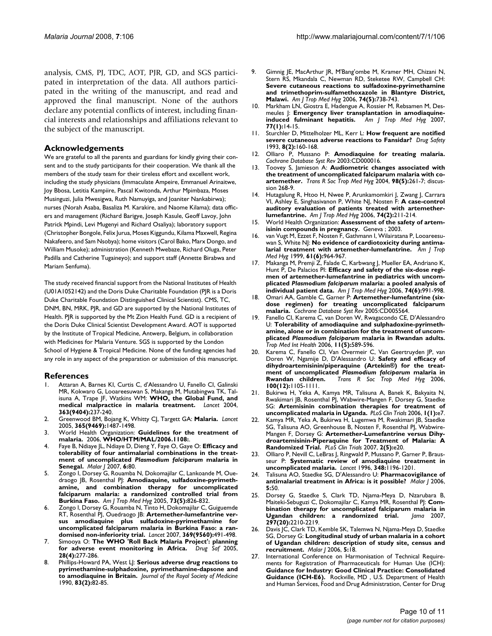analysis, CMS, PJ, TDC, AOT, PJR, GD, and SGS participated in interpretation of the data. All authors participated in the writing of the manuscript, and read and approved the final manuscript. None of the authors declare any potential conflicts of interest, including financial interests and relationships and affiliations relevant to the subject of the manuscript.

#### **Acknowledgements**

We are grateful to all the parents and guardians for kindly giving their consent and to the study participants for their cooperation. We thank all the members of the study team for their tireless effort and excellent work, including the study physicians (Immaculate Ampeire, Emmanuel Arinaitwe, Joy Bbosa, Letitia Kampiire, Pascal Kwitonda, Arthur Mpimbaza, Moses Musinguzi, Julia Mwesigwa, Ruth Namuyiga, and Joaniter Nankabirwa); nurses (Norah Asaba, Basaliza M. Karakire, and Naome Kilama); data officers and management (Richard Barigye, Joseph Kasule, Geoff Lavoy, John Patrick Mpindi, Levi Mugenyi and Richard Osaliya); laboratory support (Christopher Bongole, Felix Jurua, Moses Kiggundu, Kilama Maxwell, Regina Nakafeero, and Sam Nsobya); home visitors (Carol Bako, Marx Dongo, and William Musoke); administration (Kenneth Mwebaze, Richard Oluga, Peter Padilla and Catherine Tugaineyo); and support staff (Annette Birabwa and Mariam Senfuma).

The study received financial support from the National Institutes of Health (U01A1052142) and the Doris Duke Charitable Foundation (PJR is a Doris Duke Charitable Foundation Distinguished Clinical Scientist). CMS, TC, DNM, BN, MRK, PJR, and GD are supported by the National Institutes of Health. PJR is supported by the Mt Zion Health Fund. GD is a recipient of the Doris Duke Clinical Scientist Development Award. AOT is supported by the Institute of Tropical Medicine, Antwerp, Belgium, in collaboration with Medicines for Malaria Venture. SGS is supported by the London School of Hygiene & Tropical Medicine. None of the funding agencies had any role in any aspect of the preparation or submission of this manuscript.

#### **References**

- Attaran A, Barnes KI, Curtis C, d'Alessandro U, Fanello CI, Galinski MR, Kokwaro G, Looareesuwan S, Makanga M, Mutabingwa TK, Talisuna A, Trape JF, Watkins WM: **[WHO, the Global Fund, and](http://www.ncbi.nlm.nih.gov/entrez/query.fcgi?cmd=Retrieve&db=PubMed&dopt=Abstract&list_uids=14738799) [medical malpractice in malaria treatment.](http://www.ncbi.nlm.nih.gov/entrez/query.fcgi?cmd=Retrieve&db=PubMed&dopt=Abstract&list_uids=14738799)** *Lancet* 2004, **363(9404):**237-240.
- 2. Greenwood BM, Bojang K, Whitty CJ, Targett GA: **[Malaria.](http://www.ncbi.nlm.nih.gov/entrez/query.fcgi?cmd=Retrieve&db=PubMed&dopt=Abstract&list_uids=15850634)** *Lancet* 2005, **365(9469):**1487-1498.
- 3. World Health Organization: **Guidelines for the treatment of malaria.** 2006, **WHO/HTM/MAL/2006.1108:**.
- 4. Faye B, Ndiaye JL, Ndiaye D, Dieng Y, Faye O, Gaye O: **Efficacy and tolerability of four antimalarial combinations in the treatment of uncomplicated** *Plasmodium falciparum* **[malaria in](http://www.ncbi.nlm.nih.gov/entrez/query.fcgi?cmd=Retrieve&db=PubMed&dopt=Abstract&list_uids=17570848) [Senegal.](http://www.ncbi.nlm.nih.gov/entrez/query.fcgi?cmd=Retrieve&db=PubMed&dopt=Abstract&list_uids=17570848)** *Malar J* 2007, **6:**80.
- 5. Zongo I, Dorsey G, Rouamba N, Dokomajilar C, Lankoande M, Ouedraogo JB, Rosenthal PJ: **[Amodiaquine, sulfadoxine-pyrimeth](http://www.ncbi.nlm.nih.gov/entrez/query.fcgi?cmd=Retrieve&db=PubMed&dopt=Abstract&list_uids=16282288)[amine, and combination therapy for uncomplicated](http://www.ncbi.nlm.nih.gov/entrez/query.fcgi?cmd=Retrieve&db=PubMed&dopt=Abstract&list_uids=16282288) falciparum malaria: a randomized controlled trial from [Burkina Faso.](http://www.ncbi.nlm.nih.gov/entrez/query.fcgi?cmd=Retrieve&db=PubMed&dopt=Abstract&list_uids=16282288)** *Am J Trop Med Hyg* 2005, **73(5):**826-832.
- 6. Zongo I, Dorsey G, Rouamba N, Tinto H, Dokomajilar C, Guiguemde RT, Rosenthal PJ, Ouedraogo JB: **[Artemether-lumefantrine ver](http://www.ncbi.nlm.nih.gov/entrez/query.fcgi?cmd=Retrieve&db=PubMed&dopt=Abstract&list_uids=17292769)[sus amodiaquine plus sulfadoxine-pyrimethamine for](http://www.ncbi.nlm.nih.gov/entrez/query.fcgi?cmd=Retrieve&db=PubMed&dopt=Abstract&list_uids=17292769) uncomplicated falciparum malaria in Burkina Faso: a ran[domised non-inferiority trial.](http://www.ncbi.nlm.nih.gov/entrez/query.fcgi?cmd=Retrieve&db=PubMed&dopt=Abstract&list_uids=17292769)** *Lancet* 2007, **369(9560):**491-498.
- 7. Simooya O: **[The WHO 'Roll Back Malaria Project': planning](http://www.ncbi.nlm.nih.gov/entrez/query.fcgi?cmd=Retrieve&db=PubMed&dopt=Abstract&list_uids=15783238) [for adverse event monitoring in Africa.](http://www.ncbi.nlm.nih.gov/entrez/query.fcgi?cmd=Retrieve&db=PubMed&dopt=Abstract&list_uids=15783238)** *Drug Saf* 2005, **28(4):**277-286.
- 8. Phillips-Howard PA, West LJ: **[Serious adverse drug reactions to](http://www.ncbi.nlm.nih.gov/entrez/query.fcgi?cmd=Retrieve&db=PubMed&dopt=Abstract&list_uids=2138674) [pyrimethamine-sulphadoxine, pyrimethamine-dapsone and](http://www.ncbi.nlm.nih.gov/entrez/query.fcgi?cmd=Retrieve&db=PubMed&dopt=Abstract&list_uids=2138674) [to amodiaquine in Britain.](http://www.ncbi.nlm.nih.gov/entrez/query.fcgi?cmd=Retrieve&db=PubMed&dopt=Abstract&list_uids=2138674)** *Journal of the Royal Society of Medicine* 1990, **83(2):**82-85.
- 9. Gimnig JE, MacArthur JR, M'Bang'ombe M, Kramer MH, Chizani N, Stern RS, Mkandala C, Newman RD, Steketee RW, Campbell CH: **[Severe cutaneous reactions to sulfadoxine-pyrimethamine](http://www.ncbi.nlm.nih.gov/entrez/query.fcgi?cmd=Retrieve&db=PubMed&dopt=Abstract&list_uids=16687672) and trimethoprim-sulfamethoxazole in Blantyre District, [Malawi.](http://www.ncbi.nlm.nih.gov/entrez/query.fcgi?cmd=Retrieve&db=PubMed&dopt=Abstract&list_uids=16687672)** *Am J Trop Med Hyg* 2006, **74(5):**738-743.
- 10. Markham LN, Giostra E, Hadengue A, Rossier M, Rebsamen M, Desmeules J: **[Emergency liver transplantation in amodiaquine](http://www.ncbi.nlm.nih.gov/entrez/query.fcgi?cmd=Retrieve&db=PubMed&dopt=Abstract&list_uids=17620624)[induced fulminant hepatitis.](http://www.ncbi.nlm.nih.gov/entrez/query.fcgi?cmd=Retrieve&db=PubMed&dopt=Abstract&list_uids=17620624)** *Am J Trop Med Hyg* 2007, **77(1):**14-15.
- 11. Sturchler D, Mittelholzer ML, Kerr L: **[How frequent are notified](http://www.ncbi.nlm.nih.gov/entrez/query.fcgi?cmd=Retrieve&db=PubMed&dopt=Abstract&list_uids=8452657) [severe cutaneous adverse reactions to Fansidar?](http://www.ncbi.nlm.nih.gov/entrez/query.fcgi?cmd=Retrieve&db=PubMed&dopt=Abstract&list_uids=8452657)** *Drug Safety* 1993, **8(2):**160-168.
- 12. Olliaro P, Mussano P: **[Amodiaquine for treating malaria.](http://www.ncbi.nlm.nih.gov/entrez/query.fcgi?cmd=Retrieve&db=PubMed&dopt=Abstract&list_uids=12804382)** *Cochrane Database Syst Rev* 2003:CD000016.
- 13. Toovey S, Jamieson A: **[Audiometric changes associated with](http://www.ncbi.nlm.nih.gov/entrez/query.fcgi?cmd=Retrieve&db=PubMed&dopt=Abstract&list_uids=15109547) [the treatment of uncomplicated falciparum malaria with co](http://www.ncbi.nlm.nih.gov/entrez/query.fcgi?cmd=Retrieve&db=PubMed&dopt=Abstract&list_uids=15109547)[artemether.](http://www.ncbi.nlm.nih.gov/entrez/query.fcgi?cmd=Retrieve&db=PubMed&dopt=Abstract&list_uids=15109547)** *Trans R Soc Trop Med Hyg* 2004, **98(5):**261-7; discussion 268-9.
- 14. Hutagalung R, Htoo H, Nwee P, Arunkamomkiri J, Zwang J, Carrara VI, Ashley E, Singhasivanon P, White NJ, Nosten F: **[A case-control](http://www.ncbi.nlm.nih.gov/entrez/query.fcgi?cmd=Retrieve&db=PubMed&dopt=Abstract&list_uids=16474072) [auditory evaluation of patients treated with artemether](http://www.ncbi.nlm.nih.gov/entrez/query.fcgi?cmd=Retrieve&db=PubMed&dopt=Abstract&list_uids=16474072)[lumefantrine.](http://www.ncbi.nlm.nih.gov/entrez/query.fcgi?cmd=Retrieve&db=PubMed&dopt=Abstract&list_uids=16474072)** *Am J Trop Med Hyg* 2006, **74(2):**211-214.
- 15. World Health Organization: **Assessment of the safety of artemisinin compounds in pregnancy.** Geneva ; 2003.
- 16. van Vugt M, Ezzet F, Nosten F, Gathmann I, Wilairatana P, Looareesuwan S, White NJ: **[No evidence of cardiotoxicity during antima](http://www.ncbi.nlm.nih.gov/entrez/query.fcgi?cmd=Retrieve&db=PubMed&dopt=Abstract&list_uids=10674679)[larial treatment with artemether-lumefantrine.](http://www.ncbi.nlm.nih.gov/entrez/query.fcgi?cmd=Retrieve&db=PubMed&dopt=Abstract&list_uids=10674679)** *Am J Trop Med Hyg* 1999, **61(6):**964-967.
- <span id="page-9-0"></span>17. Makanga M, Premji Z, Falade C, Karbwang J, Mueller EA, Andriano K, Hunt P, De Palacios PI: **Efficacy and safety of the six-dose regimen of artemether-lumefantrine in pediatrics with uncomplicated** *Plasmodium falciparum* **[malaria: a pooled analysis of](http://www.ncbi.nlm.nih.gov/entrez/query.fcgi?cmd=Retrieve&db=PubMed&dopt=Abstract&list_uids=16760509) [individual patient data.](http://www.ncbi.nlm.nih.gov/entrez/query.fcgi?cmd=Retrieve&db=PubMed&dopt=Abstract&list_uids=16760509)** *Am J Trop Med Hyg* 2006, **74(6):**991-998.
- 18. Omari AA, Gamble C, Garner P: **[Artemether-lumefantrine \(six](http://www.ncbi.nlm.nih.gov/entrez/query.fcgi?cmd=Retrieve&db=PubMed&dopt=Abstract&list_uids=16235412)[dose regimen\) for treating uncomplicated falciparum](http://www.ncbi.nlm.nih.gov/entrez/query.fcgi?cmd=Retrieve&db=PubMed&dopt=Abstract&list_uids=16235412) [malaria.](http://www.ncbi.nlm.nih.gov/entrez/query.fcgi?cmd=Retrieve&db=PubMed&dopt=Abstract&list_uids=16235412)** *Cochrane Database Syst Rev* 2005:CD005564.
- 19. Fanello CI, Karema C, van Doren W, Rwagacondo CE, D'Alessandro U: **Tolerability of amodiaquine and sulphadoxine-pyrimethamine, alone or in combination for the treatment of uncomplicated** *Plasmodium falciparum* **[malaria in Rwandan adults.](http://www.ncbi.nlm.nih.gov/entrez/query.fcgi?cmd=Retrieve&db=PubMed&dopt=Abstract&list_uids=16640610)** *Trop Med Int Health* 2006, **11(5):**589-596.
- 20. Karema C, Fanello CI, Van Overmeir C, Van Geertruyden JP, van Doren W, Ngamije D, D'Alessandro U: **Safety and efficacy of dihydroartemisinin/piperaquine (Artekin®) for the treatment of uncomplicated** *Plasmodium falciparum* **[malaria in](http://www.ncbi.nlm.nih.gov/entrez/query.fcgi?cmd=Retrieve&db=PubMed&dopt=Abstract&list_uids=16766006) [Rwandan children.](http://www.ncbi.nlm.nih.gov/entrez/query.fcgi?cmd=Retrieve&db=PubMed&dopt=Abstract&list_uids=16766006)** *Trans R Soc Trop Med Hyg* 2006, **100(12):**1105-1111.
- 21. Bukirwa H, Yeka A, Kamya MR, Talisuna A, Banek K, Bakyaita N, Rwakimari JB, Rosenthal PJ, Wabwire-Mangen F, Dorsey G, Staedke SG: **[Artemisinin combination therapies for treatment of](http://www.ncbi.nlm.nih.gov/entrez/query.fcgi?cmd=Retrieve&db=PubMed&dopt=Abstract&list_uids=16871329) [uncomplicated malaria in Uganda.](http://www.ncbi.nlm.nih.gov/entrez/query.fcgi?cmd=Retrieve&db=PubMed&dopt=Abstract&list_uids=16871329)** *PLoS Clin Trials* 2006, **1(1):**e7.
- 22. Kamya MR, Yeka A, Bukirwa H, Lugemwa M, Rwakimari JB, Staedke SG, Talisuna AO, Greenhouse B, Nosten F, Rosenthal PJ, Wabwire-Mangen F, Dorsey G: **[Artemether-Lumefantrine versus Dihy](http://www.ncbi.nlm.nih.gov/entrez/query.fcgi?cmd=Retrieve&db=PubMed&dopt=Abstract&list_uids=17525792)[droartemisinin-Piperaquine for Treatment of Malaria: A](http://www.ncbi.nlm.nih.gov/entrez/query.fcgi?cmd=Retrieve&db=PubMed&dopt=Abstract&list_uids=17525792) [Randomized Trial.](http://www.ncbi.nlm.nih.gov/entrez/query.fcgi?cmd=Retrieve&db=PubMed&dopt=Abstract&list_uids=17525792)** *PLoS Clin Trials* 2007, **2(5):**e20.
- 23. Olliaro P, Nevill C, LeBras J, Ringwald P, Mussano P, Garner P, Brausseur P: **[Systematic review of amodiaquine treatment in](http://www.ncbi.nlm.nih.gov/entrez/query.fcgi?cmd=Retrieve&db=PubMed&dopt=Abstract&list_uids=8898036) [uncomplicated malaria.](http://www.ncbi.nlm.nih.gov/entrez/query.fcgi?cmd=Retrieve&db=PubMed&dopt=Abstract&list_uids=8898036)** *Lancet* 1996, **348:**1196-1201.
- 24. Talisuna AO, Staedke SG, D'Alessandro U: **[Pharmacovigilance of](http://www.ncbi.nlm.nih.gov/entrez/query.fcgi?cmd=Retrieve&db=PubMed&dopt=Abstract&list_uids=16780575) [antimalarial treatment in Africa: is it possible?](http://www.ncbi.nlm.nih.gov/entrez/query.fcgi?cmd=Retrieve&db=PubMed&dopt=Abstract&list_uids=16780575)** *Malar J* 2006, **5:**50.
- 25. Dorsey G, Staedke S, Clark TD, Njama-Meya D, Nzarubara B, Maiteki-Sebuguzi C, Dokomajilar C, Kamya MR, Rosenthal PJ: **[Com](http://www.ncbi.nlm.nih.gov/entrez/query.fcgi?cmd=Retrieve&db=PubMed&dopt=Abstract&list_uids=17519410)[bination therapy for uncomplicated falciparum malaria in](http://www.ncbi.nlm.nih.gov/entrez/query.fcgi?cmd=Retrieve&db=PubMed&dopt=Abstract&list_uids=17519410) [Ugandan children: a randomized trial.](http://www.ncbi.nlm.nih.gov/entrez/query.fcgi?cmd=Retrieve&db=PubMed&dopt=Abstract&list_uids=17519410)** *Jama* 2007, **297(20):**2210-2219.
- 26. Davis JC, Clark TD, Kemble SK, Talemwa N, Njama-Meya D, Staedke SG, Dorsey G: **[Longitudinal study of urban malaria in a cohort](http://www.ncbi.nlm.nih.gov/entrez/query.fcgi?cmd=Retrieve&db=PubMed&dopt=Abstract&list_uids=16551365) [of Ugandan children: description of study site, census and](http://www.ncbi.nlm.nih.gov/entrez/query.fcgi?cmd=Retrieve&db=PubMed&dopt=Abstract&list_uids=16551365) [recruitment.](http://www.ncbi.nlm.nih.gov/entrez/query.fcgi?cmd=Retrieve&db=PubMed&dopt=Abstract&list_uids=16551365)** *Malar J* 2006, **5:**18.
- 27. International Conference on Harmonisation of Technical Requirements for Registration of Pharmaceuticals for Human Use (ICH): **Guidance for Industry: Good Clinical Practice: Consolidated Guidance (ICH-E6).** Rockville, MD , U.S. Department of Health and Human Services, Food and Drug Administration, Center for Drug